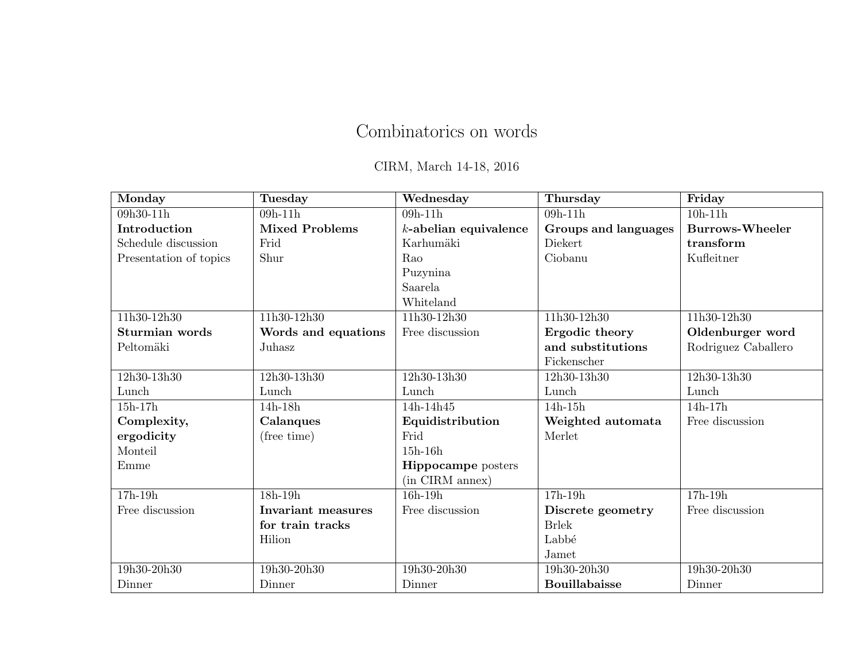# Combinatorics on words

CIRM, March 14-18, 2016

| Monday                 | Tuesday                   | Wednesday                 | Thursday                    | Friday                 |
|------------------------|---------------------------|---------------------------|-----------------------------|------------------------|
| 09h30-11h              | $09h-11h$                 | $09h-11h$                 | $09h-11h$                   | $10h-11h$              |
| Introduction           | <b>Mixed Problems</b>     | $k$ -abelian equivalence  | <b>Groups and languages</b> | <b>Burrows-Wheeler</b> |
| Schedule discussion    | Frid                      | Karhumäki                 | Diekert                     | transform              |
| Presentation of topics | Shur                      | Rao                       | Ciobanu                     | Kufleitner             |
|                        |                           | Puzynina                  |                             |                        |
|                        |                           | Saarela                   |                             |                        |
|                        |                           | Whiteland                 |                             |                        |
| 11h30-12h30            | 11h30-12h30               | 11h30-12h30               | 11h30-12h30                 | 11h30-12h30            |
| Sturmian words         | Words and equations       | Free discussion           | Ergodic theory              | Oldenburger word       |
| Peltomäki              | Juhasz                    |                           | and substitutions           | Rodriguez Caballero    |
|                        |                           |                           | Fickenscher                 |                        |
| 12h30-13h30            | 12h30-13h30               | 12h30-13h30               | 12h30-13h30                 | 12h30-13h30            |
| Lunch                  | Lunch                     | Lunch                     | Lunch                       | Lunch                  |
| $15h-17h$              | 14h-18h                   | 14h-14h45                 | $14h-15h$                   | $14h-17h$              |
| Complexity,            | Calanques                 | Equidistribution          | Weighted automata           | Free discussion        |
| ergodicity             | (free time)               | Frid                      | Merlet                      |                        |
| Monteil                |                           | $15h-16h$                 |                             |                        |
| Emme                   |                           | <b>Hippocampe</b> posters |                             |                        |
|                        |                           | (in CIRM annex)           |                             |                        |
| $17h-19h$              | $18h-19h$                 | $16h-19h$                 | $17h-19h$                   | $17h-19h$              |
| Free discussion        | <b>Invariant measures</b> | Free discussion           | Discrete geometry           | Free discussion        |
|                        | for train tracks          |                           | <b>Brlek</b>                |                        |
|                        | Hilion                    |                           | Labbé                       |                        |
|                        |                           |                           | Jamet                       |                        |
| 19h30-20h30            | 19h30-20h30               | 19h30-20h30               | 19h30-20h30                 | 19h30-20h30            |
| Dinner                 | Dinner                    | Dinner                    | <b>Bouillabaisse</b>        | Dinner                 |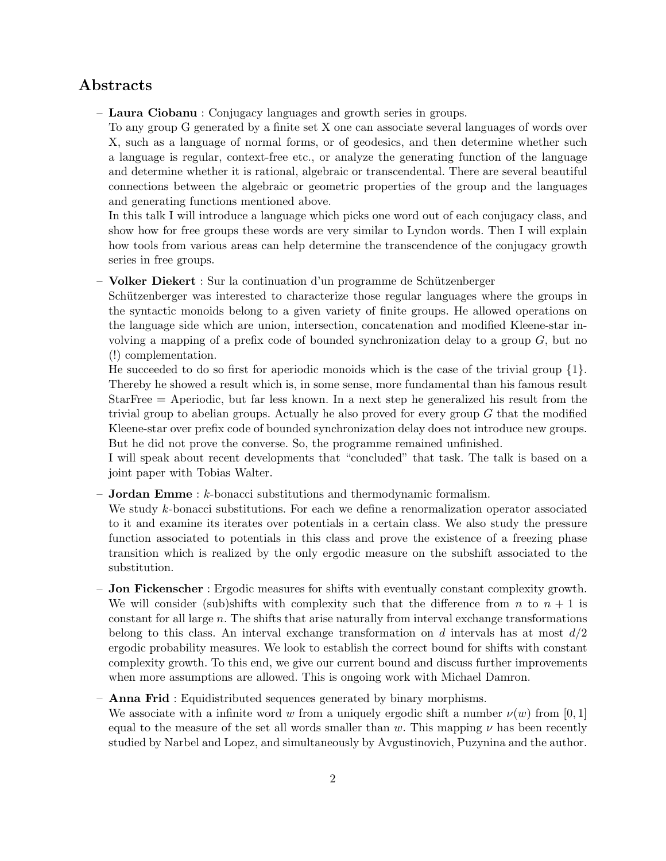### Abstracts

– Laura Ciobanu : Conjugacy languages and growth series in groups.

To any group G generated by a finite set X one can associate several languages of words over X, such as a language of normal forms, or of geodesics, and then determine whether such a language is regular, context-free etc., or analyze the generating function of the language and determine whether it is rational, algebraic or transcendental. There are several beautiful connections between the algebraic or geometric properties of the group and the languages and generating functions mentioned above.

In this talk I will introduce a language which picks one word out of each conjugacy class, and show how for free groups these words are very similar to Lyndon words. Then I will explain how tools from various areas can help determine the transcendence of the conjugacy growth series in free groups.

– Volker Diekert : Sur la continuation d'un programme de Sch¨utzenberger

Schützenberger was interested to characterize those regular languages where the groups in the syntactic monoids belong to a given variety of finite groups. He allowed operations on the language side which are union, intersection, concatenation and modified Kleene-star involving a mapping of a prefix code of bounded synchronization delay to a group  $G$ , but no (!) complementation.

He succeeded to do so first for aperiodic monoids which is the case of the trivial group  $\{1\}$ . Thereby he showed a result which is, in some sense, more fundamental than his famous result StarFree = Aperiodic, but far less known. In a next step he generalized his result from the trivial group to abelian groups. Actually he also proved for every group  $G$  that the modified Kleene-star over prefix code of bounded synchronization delay does not introduce new groups. But he did not prove the converse. So, the programme remained unfinished.

I will speak about recent developments that "concluded" that task. The talk is based on a joint paper with Tobias Walter.

– **Jordan Emme** :  $k$ -bonacci substitutions and thermodynamic formalism.

We study k-bonacci substitutions. For each we define a renormalization operator associated to it and examine its iterates over potentials in a certain class. We also study the pressure function associated to potentials in this class and prove the existence of a freezing phase transition which is realized by the only ergodic measure on the subshift associated to the substitution.

- Jon Fickenscher : Ergodic measures for shifts with eventually constant complexity growth. We will consider (sub)shifts with complexity such that the difference from n to  $n + 1$  is constant for all large  $n$ . The shifts that arise naturally from interval exchange transformations belong to this class. An interval exchange transformation on  $d$  intervals has at most  $d/2$ ergodic probability measures. We look to establish the correct bound for shifts with constant complexity growth. To this end, we give our current bound and discuss further improvements when more assumptions are allowed. This is ongoing work with Michael Damron.
- Anna Frid : Equidistributed sequences generated by binary morphisms.

We associate with a infinite word w from a uniquely ergodic shift a number  $\nu(w)$  from [0, 1] equal to the measure of the set all words smaller than w. This mapping  $\nu$  has been recently studied by Narbel and Lopez, and simultaneously by Avgustinovich, Puzynina and the author.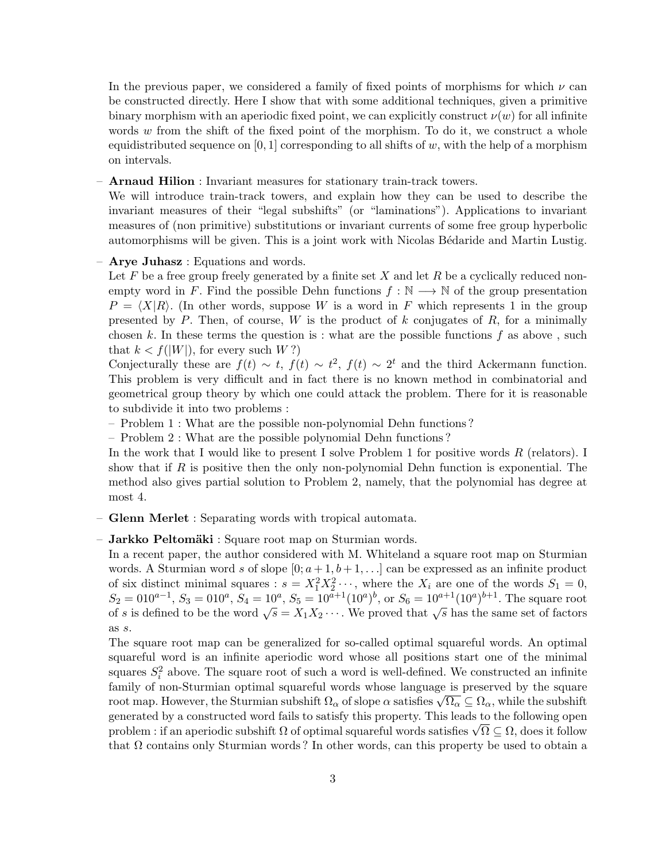In the previous paper, we considered a family of fixed points of morphisms for which  $\nu$  can be constructed directly. Here I show that with some additional techniques, given a primitive binary morphism with an aperiodic fixed point, we can explicitly construct  $\nu(w)$  for all infinite words  $w$  from the shift of the fixed point of the morphism. To do it, we construct a whole equidistributed sequence on [0, 1] corresponding to all shifts of w, with the help of a morphism on intervals.

– Arnaud Hilion : Invariant measures for stationary train-track towers.

We will introduce train-track towers, and explain how they can be used to describe the invariant measures of their "legal subshifts" (or "laminations"). Applications to invariant measures of (non primitive) substitutions or invariant currents of some free group hyperbolic automorphisms will be given. This is a joint work with Nicolas Bédaride and Martin Lustig.

#### – Arye Juhasz : Equations and words.

Let  $F$  be a free group freely generated by a finite set  $X$  and let  $R$  be a cyclically reduced nonempty word in F. Find the possible Dehn functions  $f : \mathbb{N} \longrightarrow \mathbb{N}$  of the group presentation  $P = \langle X|R\rangle$ . (In other words, suppose W is a word in F which represents 1 in the group presented by P. Then, of course, W is the product of k conjugates of R, for a minimally chosen k. In these terms the question is : what are the possible functions f as above, such that  $k < f(|W|)$ , for every such  $W$ ?)

Conjecturally these are  $f(t) \sim t$ ,  $f(t) \sim t^2$ ,  $f(t) \sim 2^t$  and the third Ackermann function. This problem is very difficult and in fact there is no known method in combinatorial and geometrical group theory by which one could attack the problem. There for it is reasonable to subdivide it into two problems :

- Problem 1 : What are the possible non-polynomial Dehn functions ?
- Problem 2 : What are the possible polynomial Dehn functions ?

In the work that I would like to present I solve Problem 1 for positive words  $R$  (relators). I show that if R is positive then the only non-polynomial Dehn function is exponential. The method also gives partial solution to Problem 2, namely, that the polynomial has degree at most 4.

– Glenn Merlet : Separating words with tropical automata.

#### $-$  Jarkko Peltomäki : Square root map on Sturmian words.

In a recent paper, the author considered with M. Whiteland a square root map on Sturmian words. A Sturmian word s of slope  $[0; a+1, b+1, \ldots]$  can be expressed as an infinite product of six distinct minimal squares :  $s = X_1^2 X_2^2 \cdots$ , where the  $X_i$  are one of the words  $S_1 = 0$ ,  $S_2 = 010^{a-1}$ ,  $S_3 = 010^a$ ,  $S_4 = 10^a$ ,  $S_5 = 10^{a+1}(10^a)^b$ , or  $S_6 = 10^{a+1}(10^a)^{b+1}$ . The square root  $S_2 = 0.00$ ,  $S_3 = 0.00$ ,  $S_4 = 10$ ,  $S_5 = 10$  (10),  $S_6 = 10$  (10). The square root of s is defined to be the word  $\sqrt{s} = X_1 X_2 \cdots$ . We proved that  $\sqrt{s}$  has the same set of factors as s.

The square root map can be generalized for so-called optimal squareful words. An optimal squareful word is an infinite aperiodic word whose all positions start one of the minimal squares  $S_i^2$  above. The square root of such a word is well-defined. We constructed an infinite family of non-Sturmian optimal squareful words whose language is preserved by the square ramily of non-sturmian optimal squareful words whose language is preserved by the square root map. However, the Sturmian subshift  $\Omega_{\alpha}$  of slope  $\alpha$  satisfies  $\sqrt{\Omega_{\alpha}} \subseteq \Omega_{\alpha}$ , while the subshift generated by a constructed word fails to satisfy this property. This leads to the following open generated by a constructed word fails to satisfy this property. I his leads to the following open<br>problem : if an aperiodic subshift  $\Omega$  of optimal squareful words satisfies  $\sqrt{\Omega} \subseteq \Omega,$  does it follow that  $\Omega$  contains only Sturmian words? In other words, can this property be used to obtain a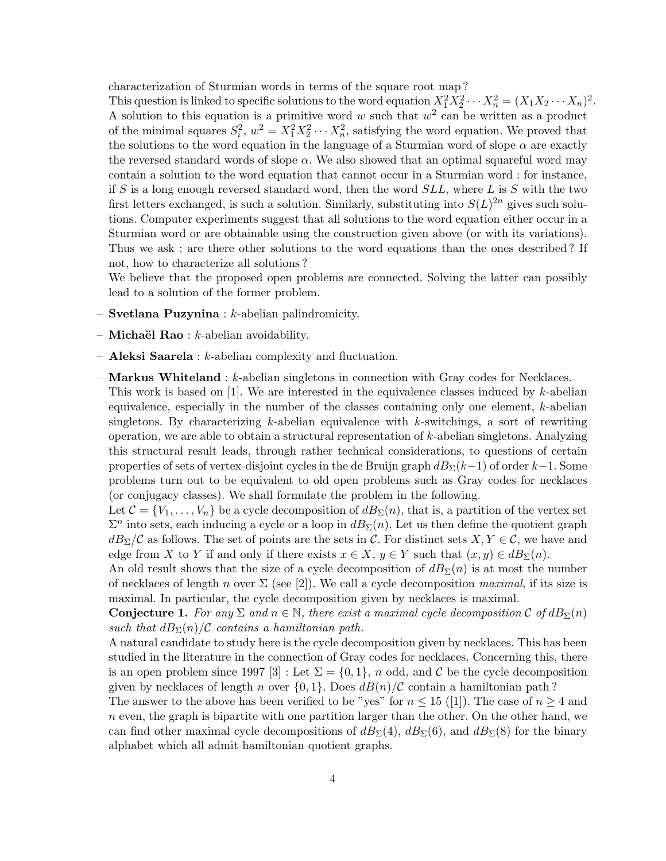characterization of Sturmian words in terms of the square root map ?

This question is linked to specific solutions to the word equation  $X_1^2 X_2^2 \cdots X_n^2 = (X_1 X_2 \cdots X_n)^2$ . A solution to this equation is a primitive word w such that  $w^2$  can be written as a product of the minimal squares  $S_i^2$ ,  $w^2 = X_1^2 X_2^2 \cdots X_n^2$ , satisfying the word equation. We proved that the solutions to the word equation in the language of a Sturmian word of slope  $\alpha$  are exactly the reversed standard words of slope  $\alpha$ . We also showed that an optimal squareful word may contain a solution to the word equation that cannot occur in a Sturmian word : for instance, if S is a long enough reversed standard word, then the word  $SLL$ , where L is S with the two first letters exchanged, is such a solution. Similarly, substituting into  $S(L)^{2n}$  gives such solutions. Computer experiments suggest that all solutions to the word equation either occur in a Sturmian word or are obtainable using the construction given above (or with its variations). Thus we ask : are there other solutions to the word equations than the ones described ? If not, how to characterize all solutions ?

We believe that the proposed open problems are connected. Solving the latter can possibly lead to a solution of the former problem.

- Svetlana Puzynina : k-abelian palindromicity.
- **Michaël Rao** :  $k$ -abelian avoidability.
- Aleksi Saarela : k-abelian complexity and fluctuation.
- $-$  **Markus Whiteland** :  $k$ -abelian singletons in connection with Gray codes for Necklaces.
	- This work is based on  $[1]$ . We are interested in the equivalence classes induced by k-abelian equivalence, especially in the number of the classes containing only one element, k-abelian singletons. By characterizing  $k$ -abelian equivalence with  $k$ -switchings, a sort of rewriting operation, we are able to obtain a structural representation of k-abelian singletons. Analyzing this structural result leads, through rather technical considerations, to questions of certain properties of sets of vertex-disjoint cycles in the de Bruijn graph  $dB_{\Sigma}(k-1)$  of order  $k-1$ . Some problems turn out to be equivalent to old open problems such as Gray codes for necklaces (or conjugacy classes). We shall formulate the problem in the following.

Let  $\mathcal{C} = \{V_1, \ldots, V_n\}$  be a cycle decomposition of  $dB_{\Sigma}(n)$ , that is, a partition of the vertex set  $\Sigma^n$  into sets, each inducing a cycle or a loop in  $dB_\Sigma(n)$ . Let us then define the quotient graph  $dB_{\Sigma}/\mathcal{C}$  as follows. The set of points are the sets in  $\mathcal{C}$ . For distinct sets  $X, Y \in \mathcal{C}$ , we have and edge from X to Y if and only if there exists  $x \in X$ ,  $y \in Y$  such that  $(x, y) \in dB_{\Sigma}(n)$ .

An old result shows that the size of a cycle decomposition of  $dB_{\Sigma}(n)$  is at most the number of necklaces of length n over  $\Sigma$  (see [2]). We call a cycle decomposition maximal, if its size is maximal. In particular, the cycle decomposition given by necklaces is maximal.

**Conjecture 1.** For any  $\Sigma$  and  $n \in \mathbb{N}$ , there exist a maximal cycle decomposition C of  $dB_{\Sigma}(n)$ such that  $dB_{\Sigma}(n)/\mathcal{C}$  contains a hamiltonian path.

A natural candidate to study here is the cycle decomposition given by necklaces. This has been studied in the literature in the connection of Gray codes for necklaces. Concerning this, there is an open problem since 1997 [3] : Let  $\Sigma = \{0, 1\}$ , n odd, and C be the cycle decomposition given by necklaces of length n over  $\{0, 1\}$ . Does  $dB(n)/C$  contain a hamiltonian path?

The answer to the above has been verified to be "yes" for  $n \leq 15$  ([1]). The case of  $n \geq 4$  and  $n$  even, the graph is bipartite with one partition larger than the other. On the other hand, we can find other maximal cycle decompositions of  $dB_{\Sigma}(4)$ ,  $dB_{\Sigma}(6)$ , and  $dB_{\Sigma}(8)$  for the binary alphabet which all admit hamiltonian quotient graphs.